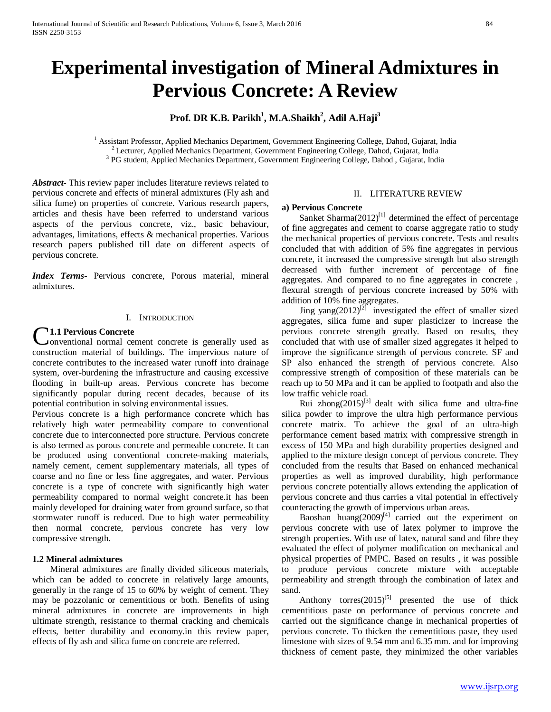# **Experimental investigation of Mineral Admixtures in Pervious Concrete: A Review**

## $\mathbf{Prof.} \ \mathbf{DR} \ \mathbf{K.B.} \ \mathbf{Parikh}^{1}, \mathbf{M.A.} \mathbf{Shaikh}^{2}, \mathbf{Adil} \ \mathbf{A}.\mathbf{Haji}^{3}$

<sup>1</sup> Assistant Professor, Applied Mechanics Department, Government Engineering College, Dahod, Gujarat, India<sup>2</sup> Lecturer, Applied Mechanics Department, Government Engineering College, Dahod, Gujarat, India<sup>3</sup> PG student,

*Abstract***-** This review paper includes literature reviews related to pervious concrete and effects of mineral admixtures (Fly ash and silica fume) on properties of concrete. Various research papers, articles and thesis have been referred to understand various aspects of the pervious concrete, viz., basic behaviour, advantages, limitations, effects & mechanical properties. Various research papers published till date on different aspects of pervious concrete.

*Index Terms*- Pervious concrete, Porous material, mineral admixtures.

#### I. INTRODUCTION

### **1.1 Pervious Concrete**

onventional normal cement concrete is generally used as **C1.1 Pervious Concrete**<br>
conventional normal cement concrete is generally used as<br>
construction material of buildings. The impervious nature of concrete contributes to the increased water runoff into drainage system, over-burdening the infrastructure and causing excessive flooding in built-up areas. Pervious concrete has become significantly popular during recent decades, because of its potential contribution in solving environmental issues.

Pervious concrete is a high performance concrete which has relatively high water permeability compare to conventional concrete due to interconnected pore structure. Pervious concrete is also termed as porous concrete and permeable concrete. It can be produced using conventional concrete-making materials, namely cement, cement supplementary materials, all types of coarse and no fine or less fine aggregates, and water. Pervious concrete is a type of concrete with significantly high water permeability compared to normal weight concrete.it has been mainly developed for draining water from ground surface, so that stormwater runoff is reduced. Due to high water permeability then normal concrete, pervious concrete has very low compressive strength.

#### **1.2 Mineral admixtures**

 Mineral admixtures are finally divided siliceous materials, which can be added to concrete in relatively large amounts, generally in the range of 15 to 60% by weight of cement. They may be pozzolanic or cementitious or both. Benefits of using mineral admixtures in concrete are improvements in high ultimate strength, resistance to thermal cracking and chemicals effects, better durability and economy.in this review paper, effects of fly ash and silica fume on concrete are referred.

### II. LITERATURE REVIEW

#### **a) Pervious Concrete**

Sanket Sharma $(2012)^{[1]}$  determined the effect of percentage of fine aggregates and cement to coarse aggregate ratio to study the mechanical properties of pervious concrete. Tests and results concluded that with addition of 5% fine aggregates in pervious concrete, it increased the compressive strength but also strength decreased with further increment of percentage of fine aggregates. And compared to no fine aggregates in concrete , flexural strength of pervious concrete increased by 50% with addition of 10% fine aggregates.

Jing yang $(2012)^{[2]}$  investigated the effect of smaller sized aggregates, silica fume and super plasticizer to increase the pervious concrete strength greatly. Based on results, they concluded that with use of smaller sized aggregates it helped to improve the significance strength of pervious concrete. SF and SP also enhanced the strength of pervious concrete. Also compressive strength of composition of these materials can be reach up to 50 MPa and it can be applied to footpath and also the low traffic vehicle road.

Rui zhong $(2015)^{[3]}$  dealt with silica fume and ultra-fine silica powder to improve the ultra high performance pervious concrete matrix. To achieve the goal of an ultra-high performance cement based matrix with compressive strength in excess of 150 MPa and high durability properties designed and applied to the mixture design concept of pervious concrete. They concluded from the results that Based on enhanced mechanical properties as well as improved durability, high performance pervious concrete potentially allows extending the application of pervious concrete and thus carries a vital potential in effectively counteracting the growth of impervious urban areas.

Baoshan huang $(2009)^{[4]}$  carried out the experiment on pervious concrete with use of latex polymer to improve the strength properties. With use of latex, natural sand and fibre they evaluated the effect of polymer modification on mechanical and physical properties of PMPC. Based on results , it was possible to produce pervious concrete mixture with acceptable permeability and strength through the combination of latex and sand.

Anthony torres $(2015)^{5}$  presented the use of thick cementitious paste on performance of pervious concrete and carried out the significance change in mechanical properties of pervious concrete. To thicken the cementitious paste, they used limestone with sizes of 9.54 mm and 6.35 mm. and for improving thickness of cement paste, they minimized the other variables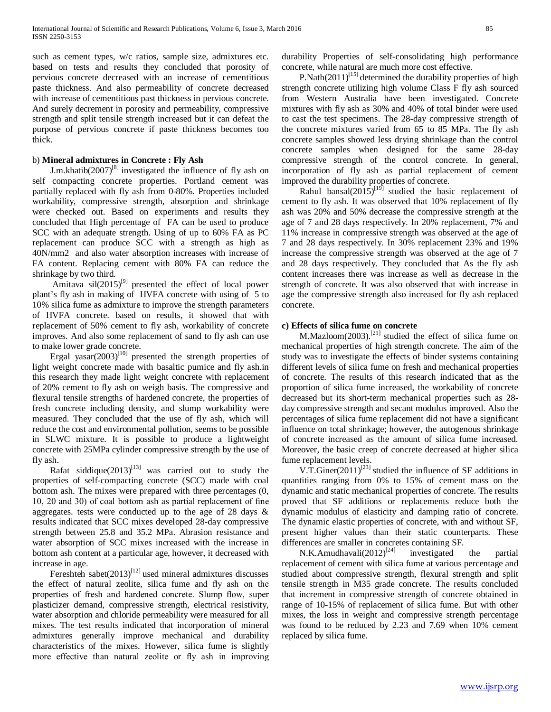such as cement types, w/c ratios, sample size, admixtures etc. based on tests and results they concluded that porosity of pervious concrete decreased with an increase of cementitious paste thickness. And also permeability of concrete decreased with increase of cementitious past thickness in pervious concrete. And surely decrement in porosity and permeability, compressive strength and split tensile strength increased but it can defeat the purpose of pervious concrete if paste thickness becomes too thick.

#### b) **Mineral admixtures in Concrete : Fly Ash**

J.m.khatib $(2007)^{[8]}$  investigated the influence of fly ash on self compacting concrete properties. Portland cement was partially replaced with fly ash from 0-80%. Properties included workability, compressive strength, absorption and shrinkage were checked out. Based on experiments and results they concluded that High percentage of FA can be used to produce SCC with an adequate strength. Using of up to 60% FA as PC replacement can produce SCC with a strength as high as 40N/mm2 and also water absorption increases with increase of FA content. Replacing cement with 80% FA can reduce the shrinkage by two third.

Amitava  $\sin(2015)^{9}$  presented the effect of local power plant's fly ash in making of HVFA concrete with using of 5 to 10% silica fume as admixture to improve the strength parameters of HVFA concrete. based on results, it showed that with replacement of 50% cement to fly ash, workability of concrete improves. And also some replacement of sand to fly ash can use to make lower grade concrete.

Ergal yasar $(2003)^{[10]}$  presented the strength properties of light weight concrete made with basaltic pumice and fly ash.in this research they made light weight concrete with replacement of 20% cement to fly ash on weigh basis. The compressive and flexural tensile strengths of hardened concrete, the properties of fresh concrete including density, and slump workability were measured. They concluded that the use of fly ash, which will reduce the cost and environmental pollution, seems to be possible in SLWC mixture. It is possible to produce a lightweight concrete with 25MPa cylinder compressive strength by the use of fly ash.

Rafat siddique $(2013)^{[13]}$  was carried out to study the properties of self-compacting concrete (SCC) made with coal bottom ash. The mixes were prepared with three percentages (0, 10, 20 and 30) of coal bottom ash as partial replacement of fine aggregates. tests were conducted up to the age of 28 days & results indicated that SCC mixes developed 28-day compressive strength between 25.8 and 35.2 MPa. Abrasion resistance and water absorption of SCC mixes increased with the increase in bottom ash content at a particular age, however, it decreased with increase in age.

Fereshteh sabet $(2013)^{[12]}$  used mineral admixtures discusses the effect of natural zeolite, silica fume and fly ash on the properties of fresh and hardened concrete. Slump flow, super plasticizer demand, compressive strength, electrical resistivity, water absorption and chloride permeability were measured for all mixes. The test results indicated that incorporation of mineral admixtures generally improve mechanical and durability characteristics of the mixes. However, silica fume is slightly more effective than natural zeolite or fly ash in improving durability Properties of self-consolidating high performance concrete, while natural are much more cost effective.

P. Nath $(2011)^{[15]}$  determined the durability properties of high strength concrete utilizing high volume Class F fly ash sourced from Western Australia have been investigated. Concrete mixtures with fly ash as 30% and 40% of total binder were used to cast the test specimens. The 28-day compressive strength of the concrete mixtures varied from 65 to 85 MPa. The fly ash concrete samples showed less drying shrinkage than the control concrete samples when designed for the same 28-day compressive strength of the control concrete. In general, incorporation of fly ash as partial replacement of cement improved the durability properties of concrete.

Rahul bansal $(2015)^{[19]}$  studied the basic replacement of cement to fly ash. It was observed that 10% replacement of fly ash was 20% and 50% decrease the compressive strength at the age of 7 and 28 days respectively. In 20% replacement, 7% and 11% increase in compressive strength was observed at the age of 7 and 28 days respectively. In 30% replacement 23% and 19% increase the compressive strength was observed at the age of 7 and 28 days respectively. They concluded that As the fly ash content increases there was increase as well as decrease in the strength of concrete. It was also observed that with increase in age the compressive strength also increased for fly ash replaced concrete.

#### **c) Effects of silica fume on concrete**

M.Mazloom(2003).<sup>[21]</sup> studied the effect of silica fume on mechanical properties of high strength concrete. The aim of the study was to investigate the effects of binder systems containing different levels of silica fume on fresh and mechanical properties of concrete. The results of this research indicated that as the proportion of silica fume increased, the workability of concrete decreased but its short-term mechanical properties such as 28 day compressive strength and secant modulus improved. Also the percentages of silica fume replacement did not have a significant influence on total shrinkage; however, the autogenous shrinkage of concrete increased as the amount of silica fume increased. Moreover, the basic creep of concrete decreased at higher silica fume replacement levels.

V.T.Giner(2011)<sup>[23]</sup> studied the influence of SF additions in quantities ranging from 0% to 15% of cement mass on the dynamic and static mechanical properties of concrete. The results proved that SF additions or replacements reduce both the dynamic modulus of elasticity and damping ratio of concrete. The dynamic elastic properties of concrete, with and without SF, present higher values than their static counterparts. These differences are smaller in concretes containing SF.

N.K.Amudhavali $(2012)^{[24]}$  investigated the partial replacement of cement with silica fume at various percentage and studied about compressive strength, flexural strength and split tensile strength in M35 grade concrete. The results concluded that increment in compressive strength of concrete obtained in range of 10-15% of replacement of silica fume. But with other mixes, the loss in weight and compressive strength percentage was found to be reduced by 2.23 and 7.69 when 10% cement replaced by silica fume.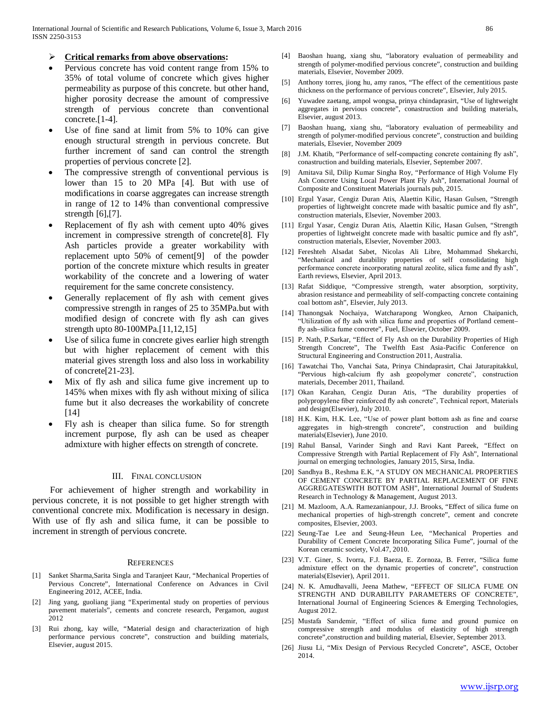#### **Critical remarks from above observations:**

- Pervious concrete has void content range from 15% to 35% of total volume of concrete which gives higher permeability as purpose of this concrete. but other hand, higher porosity decrease the amount of compressive strength of pervious concrete than conventional concrete.[1-4].
- Use of fine sand at limit from 5% to 10% can give enough structural strength in pervious concrete. But further increment of sand can control the strength properties of pervious concrete [2].
- The compressive strength of conventional pervious is lower than 15 to 20 MPa [4]. But with use of modifications in coarse aggregates can increase strength in range of 12 to 14% than conventional compressive strength [6],[7].
- Replacement of fly ash with cement upto 40% gives increment in compressive strength of concrete[8]. Fly Ash particles provide a greater workability with replacement upto 50% of cement[9] of the powder portion of the concrete mixture which results in greater workability of the concrete and a lowering of water requirement for the same concrete consistency.
- Generally replacement of fly ash with cement gives compressive strength in ranges of 25 to 35MPa.but with modified design of concrete with fly ash can gives strength upto 80-100MPa.[11,12,15]
- Use of silica fume in concrete gives earlier high strength but with higher replacement of cement with this material gives strength loss and also loss in workability of concrete[21-23].
- Mix of fly ash and silica fume give increment up to 145% when mixes with fly ash without mixing of silica fume but it also decreases the workability of concrete [14]
- Fly ash is cheaper than silica fume. So for strength increment purpose, fly ash can be used as cheaper admixture with higher effects on strength of concrete.

#### III. FINAL CONCLUSION

 For achievement of higher strength and workability in pervious concrete, it is not possible to get higher strength with conventional concrete mix. Modification is necessary in design. With use of fly ash and silica fume, it can be possible to increment in strength of pervious concrete.

#### **REFERENCES**

- [1] Sanket Sharma,Sarita Singla and Taranjeet Kaur, "Mechanical Properties of Pervious Concrete", International Conference on Advances in Civil Engineering 2012, ACEE, India.
- [2] Jing yang, guoliang jiang "Experimental study on properties of pervious pavement materials", cements and concrete research, Pergamon, august 2012
- [3] Rui zhong, kay wille, "Material design and characterization of high performance pervious concrete", construction and building materials, Elsevier, august 2015.
- [4] Baoshan huang, xiang shu, "laboratory evaluation of permeability and strength of polymer-modified pervious concrete", construction and building materials, Elsevier, November 2009.
- Anthony torres, jiong hu, amy ranos, "The effect of the cementitious paste thickness on the performance of pervious concrete", Elsevier, July 2015.
- [6] Yuwadee zaetang, ampol wongsa, prinya chindaprasirt, "Use of lightweight aggregates in pervious concrete", conastruction and building materials, Elsevier, august 2013.
- [7] Baoshan huang, xiang shu, "laboratory evaluation of permeability and strength of polymer-modified pervious concrete", construction and building materials, Elsevier, November 2009
- [8] J.M. Khatib, "Performance of self-compacting concrete containing fly ash", conastruction and building materials, Elsevier, September 2007.
- [9] Amitava Sil, Dilip Kumar Singha Roy, "Performance of High Volume Fly Ash Concrete Using Local Power Plant Fly Ash", International Journal of Composite and Constituent Materials journals pub, 2015.
- [10] Ergul Yasar, Cengiz Duran Atis, Alaettin Kilic, Hasan Gulsen, "Strength properties of lightweight concrete made with basaltic pumice and fly ash", construction materials, Elsevier, November 2003.
- [11] Ergul Yasar, Cengiz Duran Atis, Alaettin Kilic, Hasan Gulsen, "Strength properties of lightweight concrete made with basaltic pumice and fly ash", construction materials, Elsevier, November 2003.
- [12] Fereshteh Alsadat Sabet, Nicolas Ali Libre, Mohammad Shekarchi, "Mechanical and durability properties of self consolidating high performance concrete incorporating natural zeolite, silica fume and fly ash", Earth reviews, Elsevier, April 2013.
- [13] Rafat Siddique, "Compressive strength, water absorption, sorptivity, abrasion resistance and permeability of self-compacting concrete containing coal bottom ash", Elsevier, July 2013.
- [14] Thanongsak Nochaiya, Watcharapong Wongkeo, Arnon Chaipanich, "Utilization of fly ash with silica fume and properties of Portland cement– fly ash–silica fume concrete", Fuel, Elsevier, October 2009.
- [15] P. Nath, P. Sarkar, "Effect of Fly Ash on the Durability Properties of High Strength Concrete", The Twelfth East Asia-Pacific Conference on Structural Engineering and Construction 2011, Australia.
- [16] Tawatchai Tho, Vanchai Sata, Prinya Chindaprasirt, Chai Jaturapitakkul, "Pervious high-calcium fly ash geopolymer concrete", construction materials, December 2011, Thailand.
- [17] Okan Karahan, Cengiz Duran Atis, "The durability properties of polypropylene fiber reinforced fly ash concrete", Technical report, Materials and design(Elsevier), July 2010.
- [18] H.K. Kim, H.K. Lee, "Use of power plant bottom ash as fine and coarse aggregates in high-strength concrete", construction and building materials(Elsevier), June 2010.
- [19] Rahul Bansal, Varinder Singh and Ravi Kant Pareek, "Effect on Compressive Strength with Partial Replacement of Fly Ash", International journal on emerging technologies, January 2015, Sirsa, India.
- [20] Sandhya B., Reshma E.K, "A STUDY ON MECHANICAL PROPERTIES OF CEMENT CONCRETE BY PARTIAL REPLACEMENT OF FINE AGGREGATESWITH BOTTOM ASH", International Journal of Students Research in Technology & Management, August 2013.
- [21] M. Mazloom, A.A. Ramezanianpour, J.J. Brooks, "Effect of silica fume on mechanical properties of high-strength concrete", cement and concrete composites, Elsevier, 2003.
- [22] Seung-Tae Lee and Seung-Heun Lee, "Mechanical Properties and Durability of Cement Concrete Incorporating Silica Fume", journal of the Korean ceramic society, Vol.47, 2010.
- [23] V.T. Giner, S. Ivorra, F.J. Baeza, E. Zornoza, B. Ferrer, "Silica fume admixture effect on the dynamic properties of concrete", construction materials(Elsevier), April 2011.
- [24] N. K. Amudhavalli, Jeena Mathew, "EFFECT OF SILICA FUME ON STRENGTH AND DURABILITY PARAMETERS OF CONCRETE", International Journal of Engineering Sciences & Emerging Technologies, August 2012.
- [25] Mustafa Sarıdemir, "Effect of silica fume and ground pumice on compressive strength and modulus of elasticity of high strength concrete",construction and building material, Elsevier, September 2013.
- [26] Jiusu Li, "Mix Design of Pervious Recycled Concrete", ASCE, October 2014.